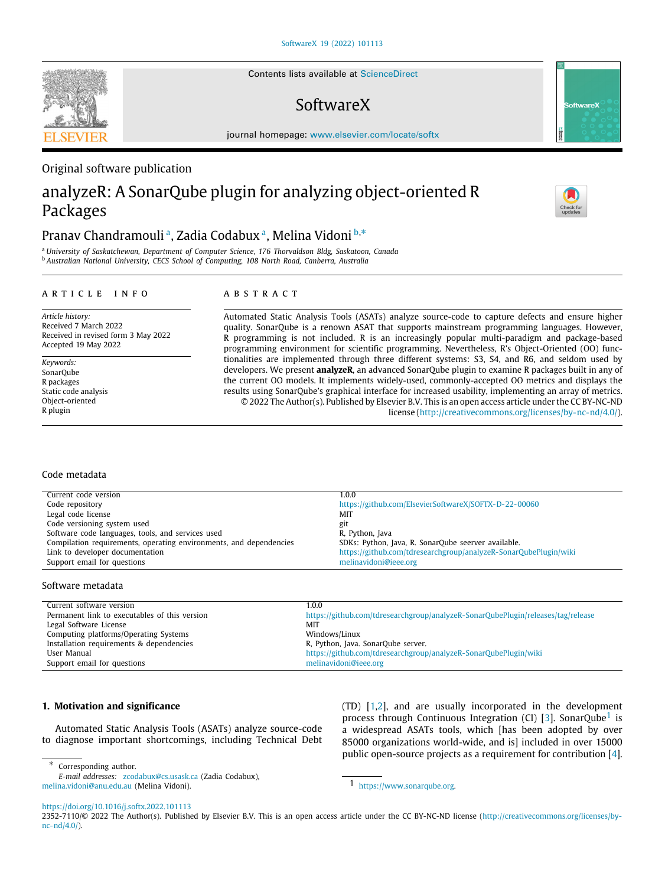Contents lists available at [ScienceDirect](http://www.elsevier.com/locate/softx)

## SoftwareX

journal homepage: [www.elsevier.com/locate/softx](http://www.elsevier.com/locate/softx)

### Original software publication

# analyzeR: A SonarQube plugin for analyzing object-oriented R Packages

## Pr[a](#page-0-0)nav Chandramoulia, Zadia Coda[b](#page-0-1)uxa, Melina Vidoni<sup>b,\*</sup>

<span id="page-0-1"></span><span id="page-0-0"></span><sup>a</sup> *University of Saskatchewan, Department of Computer Science, 176 Thorvaldson Bldg, Saskatoon, Canada* <sup>b</sup> *Australian National University, CECS School of Computing, 108 North Road, Canberra, Australia*

#### a r t i c l e i n f o

### A B S T R A C T

*Article history:* Received 7 March 2022 Received in revised form 3 May 2022 Accepted 19 May 2022

*Keywords:* SonarQube R packages Static code analysis Object-oriented R plugin

Automated Static Analysis Tools (ASATs) analyze source-code to capture defects and ensure higher quality. SonarQube is a renown ASAT that supports mainstream programming languages. However, R programming is not included. R is an increasingly popular multi-paradigm and package-based programming environment for scientific programming. Nevertheless, R's Object-Oriented (OO) functionalities are implemented through three different systems: S3, S4, and R6, and seldom used by developers. We present **analyzeR**, an advanced SonarQube plugin to examine R packages built in any of the current OO models. It implements widely-used, commonly-accepted OO metrics and displays the results using SonarQube's graphical interface for increased usability, implementing an array of metrics. © 2022 The Author(s). Published by Elsevier B.V. This is an open access article under the CC BY-NC-ND license (<http://creativecommons.org/licenses/by-nc-nd/4.0/>).

#### Code metadata

| Current code version                                               | 1.0.0                                                            |
|--------------------------------------------------------------------|------------------------------------------------------------------|
| Code repository                                                    | https://github.com/ElsevierSoftwareX/SOFTX-D-22-00060            |
| Legal code license                                                 | MIT                                                              |
| Code versioning system used                                        | git                                                              |
| Software code languages, tools, and services used                  | R, Python, Java                                                  |
| Compilation requirements, operating environments, and dependencies | SDKs: Python, Java, R. SonarQube seerver available.              |
| Link to developer documentation                                    | https://github.com/tdresearchgroup/analyzeR-SonarQubePlugin/wiki |
| Support email for questions                                        | melinavidoni@ieee.org                                            |

#### Software metadata

| Current software version                      | 1.0.0                                                                            |
|-----------------------------------------------|----------------------------------------------------------------------------------|
| Permanent link to executables of this version | https://github.com/tdresearchgroup/analyzeR-SonarOubePlugin/releases/tag/release |
| Legal Software License                        | MIT                                                                              |
| Computing platforms/Operating Systems         | Windows/Linux                                                                    |
| Installation requirements & dependencies      | R, Python, Java, SonarQube server,                                               |
| User Manual                                   | https://github.com/tdresearchgroup/analyzeR-SonarQubePlugin/wiki                 |
| Support email for questions                   | melinavidoni@ieee.org                                                            |

#### **1. Motivation and significance**

Automated Static Analysis Tools (ASATs) analyze source-code to diagnose important shortcomings, including Technical Debt

<span id="page-0-3"></span>(TD) [\[1](#page-8-0)[,2](#page-8-1)], and are usually incorporated in the development process through Continuous Integration (CI) [[3\]](#page-8-2). SonarQube<sup>[1](#page-0-3)</sup> is a widespread ASATs tools, which [has been adopted by over 85000 organizations world-wide, and is] included in over 15000 public open-source projects as a requirement for contribution [[4\]](#page-8-3).

*E-mail addresses:* [zcodabux@cs.usask.ca](mailto:zcodabux@cs.usask.ca) (Zadia Codabux), [melina.vidoni@anu.edu.au](mailto:melina.vidoni@anu.edu.au) (Melina Vidoni).

1 [https://www.sonarqube.org.](https://www.sonarqube.org)







<span id="page-0-2"></span><sup>∗</sup> Corresponding author.

<https://doi.org/10.1016/j.softx.2022.101113>

<sup>2352-7110/</sup>© 2022 The Author(s). Published by Elsevier B.V. This is an open access article under the CC BY-NC-ND license [\(http://creativecommons.org/licenses/by](http://creativecommons.org/licenses/by-nc-nd/4.0/) $nc-nd/4.0)$ .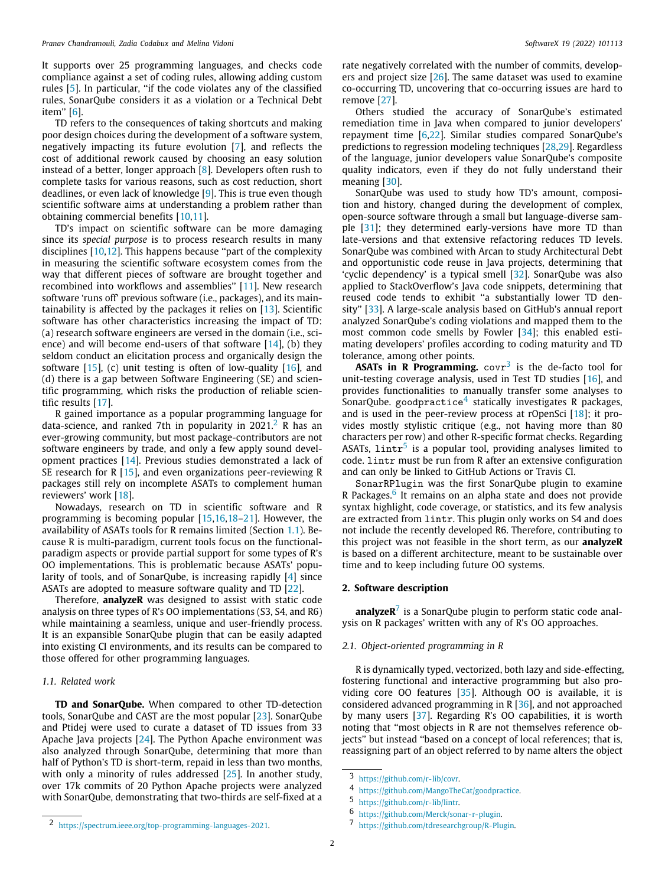It supports over 25 programming languages, and checks code compliance against a set of coding rules, allowing adding custom rules [[5](#page-8-4)]. In particular, ''if the code violates any of the classified rules, SonarQube considers it as a violation or a Technical Debt item'' [[6\]](#page-8-5).

TD refers to the consequences of taking shortcuts and making poor design choices during the development of a software system, negatively impacting its future evolution [[7](#page-8-6)], and reflects the cost of additional rework caused by choosing an easy solution instead of a better, longer approach [[8\]](#page-8-7). Developers often rush to complete tasks for various reasons, such as cost reduction, short deadlines, or even lack of knowledge [\[9\]](#page-8-8). This is true even though scientific software aims at understanding a problem rather than obtaining commercial benefits [[10](#page-8-9)[,11](#page-8-10)].

TD's impact on scientific software can be more damaging since its *special purpose* is to process research results in many disciplines [[10](#page-8-9)[,12\]](#page-8-11). This happens because ''part of the complexity in measuring the scientific software ecosystem comes from the way that different pieces of software are brought together and recombined into workflows and assemblies'' [[11](#page-8-10)]. New research software 'runs off' previous software (i.e., packages), and its maintainability is affected by the packages it relies on [\[13\]](#page-8-12). Scientific software has other characteristics increasing the impact of TD: (a) research software engineers are versed in the domain (i.e., science) and will become end-users of that software  $[14]$  $[14]$  $[14]$ , (b) they seldom conduct an elicitation process and organically design the software  $[15]$  $[15]$  $[15]$ , (c) unit testing is often of low-quality  $[16]$ , and (d) there is a gap between Software Engineering (SE) and scientific programming, which risks the production of reliable scientific results [[17](#page-8-16)].

R gained importance as a popular programming language for data-science, and ranked 7th in popularity in  $2021<sup>2</sup>$  $2021<sup>2</sup>$  R has an ever-growing community, but most package-contributors are not software engineers by trade, and only a few apply sound development practices [[14](#page-8-13)]. Previous studies demonstrated a lack of SE research for R [[15](#page-8-14)], and even organizations peer-reviewing R packages still rely on incomplete ASATs to complement human reviewers' work [[18](#page-8-17)].

Nowadays, research on TD in scientific software and R programming is becoming popular [[15](#page-8-14)[,16,](#page-8-15)[18](#page-8-17)[–21\]](#page-8-18). However, the availability of ASATs tools for R remains limited (Section [1.1](#page-1-1)). Because R is multi-paradigm, current tools focus on the functionalparadigm aspects or provide partial support for some types of R's OO implementations. This is problematic because ASATs' popularity of tools, and of SonarQube, is increasing rapidly [[4\]](#page-8-3) since ASATs are adopted to measure software quality and TD [[22\]](#page-8-19).

Therefore, **analyzeR** was designed to assist with static code analysis on three types of R's OO implementations (S3, S4, and R6) while maintaining a seamless, unique and user-friendly process. It is an expansible SonarQube plugin that can be easily adapted into existing CI environments, and its results can be compared to those offered for other programming languages.

#### *1.1. Related work*

<span id="page-1-1"></span>**TD and SonarQube.** When compared to other TD-detection tools, SonarQube and CAST are the most popular [[23](#page-8-20)]. SonarQube and Ptidej were used to curate a dataset of TD issues from 33 Apache Java projects [[24](#page-8-21)]. The Python Apache environment was also analyzed through SonarQube, determining that more than half of Python's TD is short-term, repaid in less than two months, with only a minority of rules addressed [[25](#page-8-22)]. In another study, over 17k commits of 20 Python Apache projects were analyzed with SonarQube, demonstrating that two-thirds are self-fixed at a

rate negatively correlated with the number of commits, developers and project size [\[26\]](#page-8-23). The same dataset was used to examine co-occurring TD, uncovering that co-occurring issues are hard to remove [\[27\]](#page-8-24).

Others studied the accuracy of SonarQube's estimated remediation time in Java when compared to junior developers' repayment time [\[6,](#page-8-5)[22](#page-8-19)]. Similar studies compared SonarQube's predictions to regression modeling techniques [[28](#page-8-25)[,29\]](#page-8-26). Regardless of the language, junior developers value SonarQube's composite quality indicators, even if they do not fully understand their meaning [[30](#page-8-27)].

SonarQube was used to study how TD's amount, composition and history, changed during the development of complex, open-source software through a small but language-diverse sample [\[31\]](#page-8-28); they determined early-versions have more TD than late-versions and that extensive refactoring reduces TD levels. SonarQube was combined with Arcan to study Architectural Debt and opportunistic code reuse in Java projects, determining that 'cyclic dependency' is a typical smell [\[32\]](#page-8-29). SonarQube was also applied to StackOverflow's Java code snippets, determining that reused code tends to exhibit ''a substantially lower TD density'' [[33\]](#page-8-30). A large-scale analysis based on GitHub's annual report analyzed SonarQube's coding violations and mapped them to the most common code smells by Fowler [\[34\]](#page-8-31); this enabled estimating developers' profiles according to coding maturity and TD tolerance, among other points.

<span id="page-1-3"></span><span id="page-1-2"></span>**ASATs in R Programming.**  $covr^3$  $covr^3$  is the de-facto tool for unit-testing coverage analysis, used in Test TD studies [[16](#page-8-15)], and provides functionalities to manually transfer some analyses to SonarQube. goodpractice<sup>[4](#page-1-3)</sup> statically investigates R packages, and is used in the peer-review process at rOpenSci [[18](#page-8-17)]; it provides mostly stylistic critique (e.g., not having more than 80 characters per row) and other R-specific format checks. Regarding ASATs,  $1intr<sup>5</sup>$  $1intr<sup>5</sup>$  $1intr<sup>5</sup>$  is a popular tool, providing analyses limited to code. lintr must be run from R after an extensive configuration and can only be linked to GitHub Actions or Travis CI.

<span id="page-1-5"></span><span id="page-1-4"></span><span id="page-1-0"></span>SonarRPlugin was the first SonarQube plugin to examine R Packages.<sup>[6](#page-1-5)</sup> It remains on an alpha state and does not provide syntax highlight, code coverage, or statistics, and its few analysis are extracted from lintr. This plugin only works on S4 and does not include the recently developed R6. Therefore, contributing to this project was not feasible in the short term, as our **analyzeR** is based on a different architecture, meant to be sustainable over time and to keep including future OO systems.

#### **2. Software description**

<span id="page-1-6"></span>**analyzeR**[7](#page-1-6) is a SonarQube plugin to perform static code analysis on R packages' written with any of R's OO approaches.

#### *2.1. Object-oriented programming in R*

<span id="page-1-7"></span>R is dynamically typed, vectorized, both lazy and side-effecting, fostering functional and interactive programming but also providing core OO features [\[35](#page-8-32)]. Although OO is available, it is considered advanced programming in R [\[36\]](#page-8-33), and not approached by many users [[37](#page-8-34)]. Regarding R's OO capabilities, it is worth noting that ''most objects in R are not themselves reference objects'' but instead ''based on a concept of local references; that is, reassigning part of an object referred to by name alters the object

<sup>3</sup> [https://github.com/r-lib/covr.](https://github.com/r-lib/covr)

<sup>4</sup> <https://github.com/MangoTheCat/goodpractice>.

<sup>5</sup> [https://github.com/r-lib/lintr.](https://github.com/r-lib/lintr)

<sup>6</sup> [https://github.com/Merck/sonar-r-plugin.](https://github.com/Merck/sonar-r-plugin)

<sup>7</sup> [https://github.com/tdresearchgroup/R-Plugin.](https://github.com/tdresearchgroup/R-Plugin)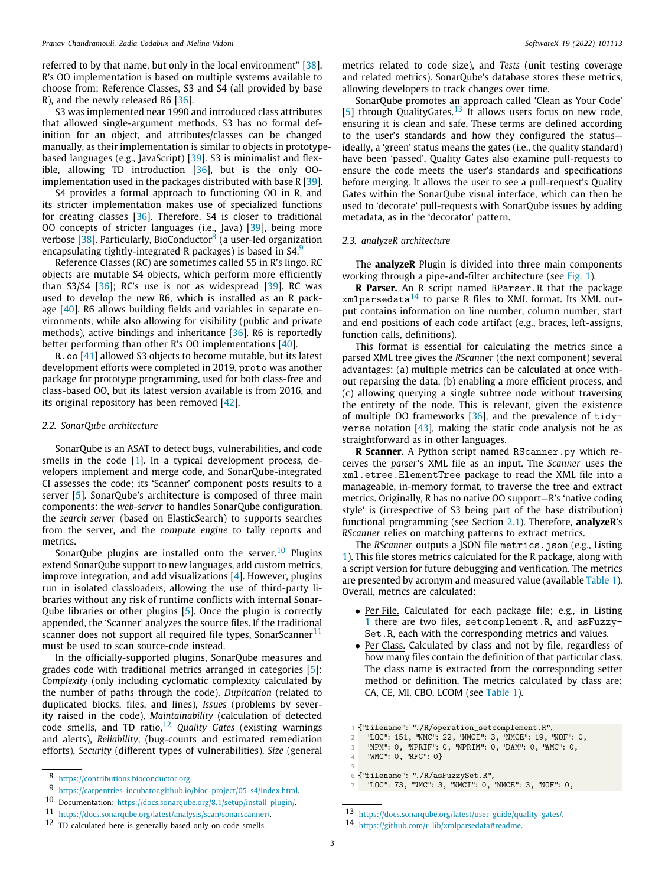referred to by that name, but only in the local environment'' [\[38\]](#page-8-35). R's OO implementation is based on multiple systems available to choose from; Reference Classes, S3 and S4 (all provided by base R), and the newly released R6 [\[36\]](#page-8-33).

S3 was implemented near 1990 and introduced class attributes that allowed single-argument methods. S3 has no formal definition for an object, and attributes/classes can be changed manually, as their implementation is similar to objects in prototypebased languages (e.g., JavaScript) [\[39\]](#page-8-36). S3 is minimalist and flexible, allowing TD introduction [[36\]](#page-8-33), but is the only OOimplementation used in the packages distributed with base R [[39](#page-8-36)].

S4 provides a formal approach to functioning OO in R, and its stricter implementation makes use of specialized functions for creating classes [\[36\]](#page-8-33). Therefore, S4 is closer to traditional OO concepts of stricter languages (i.e., Java) [\[39\]](#page-8-36), being more verbose [[38](#page-8-35)]. Particularly, BioConductor<sup>[8](#page-2-0)</sup> (a user-led organization encapsulating tightly-integrated R packages) is based in S4.<sup>[9](#page-2-1)</sup>

Reference Classes (RC) are sometimes called S5 in R's lingo. RC objects are mutable S4 objects, which perform more efficiently than  $S3/S4$  [ $36$ ]; RC's use is not as widespread [ $39$ ]. RC was used to develop the new R6, which is installed as an R package [[40\]](#page-8-37). R6 allows building fields and variables in separate environments, while also allowing for visibility (public and private methods), active bindings and inheritance [\[36\]](#page-8-33). R6 is reportedly better performing than other R's OO implementations [\[40\]](#page-8-37).

R.oo [\[41\]](#page-8-38) allowed S3 objects to become mutable, but its latest development efforts were completed in 2019. proto was another package for prototype programming, used for both class-free and class-based OO, but its latest version available is from 2016, and its original repository has been removed [[42](#page-9-0)].

#### *2.2. SonarQube architecture*

<span id="page-2-8"></span>SonarQube is an ASAT to detect bugs, vulnerabilities, and code smells in the code [[1\]](#page-8-0). In a typical development process, developers implement and merge code, and SonarQube-integrated CI assesses the code; its 'Scanner' component posts results to a server [[5\]](#page-8-4). SonarQube's architecture is composed of three main components: the *web-server* to handles SonarQube configuration, the *search server* (based on ElasticSearch) to supports searches from the server, and the *compute engine* to tally reports and metrics.

SonarQube plugins are installed onto the server.<sup>[10](#page-2-2)</sup> Plugins extend SonarQube support to new languages, add custom metrics, improve integration, and add visualizations [[4](#page-8-3)]. However, plugins run in isolated classloaders, allowing the use of third-party libraries without any risk of runtime conflicts with internal Sonar-Qube libraries or other plugins [[5\]](#page-8-4). Once the plugin is correctly appended, the 'Scanner' analyzes the source files. If the traditional scanner does not support all required file types, SonarScanner<sup>[11](#page-2-3)</sup> must be used to scan source-code instead.

In the officially-supported plugins, SonarQube measures and grades code with traditional metrics arranged in categories [[5\]](#page-8-4): *Complexity* (only including cyclomatic complexity calculated by the number of paths through the code), *Duplication* (related to duplicated blocks, files, and lines), *Issues* (problems by severity raised in the code), *Maintainability* (calculation of detected code smells, and TD ratio,[12](#page-2-4) *Quality Gates* (existing warnings and alerts), *Reliability*, (bug-counts and estimated remediation efforts), *Security* (different types of vulnerabilities), *Size* (general metadata, as in the 'decorator' pattern.

<span id="page-2-1"></span><span id="page-2-0"></span>*2.3. analyzeR architecture*

working through a pipe-and-filter architecture (see [Fig.](#page-3-0) [1](#page-3-0)). **R Parser.** An R script named RParser.R that the package  $xmlparsedata<sup>14</sup>$  $xmlparsedata<sup>14</sup>$  $xmlparsedata<sup>14</sup>$  to parse R files to XML format. Its XML output contains information on line number, column number, start and end positions of each code artifact (e.g., braces, left-assigns, function calls, definitions).

metrics related to code size), and *Tests* (unit testing coverage and related metrics). SonarQube's database stores these metrics,

<span id="page-2-5"></span>SonarQube promotes an approach called 'Clean as Your Code' [[5](#page-8-4)] through QualityGates.<sup>[13](#page-2-5)</sup> It allows users focus on new code, ensuring it is clean and safe. These terms are defined according to the user's standards and how they configured the status ideally, a 'green' status means the gates (i.e., the quality standard) have been 'passed'. Quality Gates also examine pull-requests to ensure the code meets the user's standards and specifications before merging. It allows the user to see a pull-request's Quality Gates within the SonarQube visual interface, which can then be used to 'decorate' pull-requests with SonarQube issues by adding

allowing developers to track changes over time.

This format is essential for calculating the metrics since a parsed XML tree gives the *RScanner* (the next component) several advantages: (a) multiple metrics can be calculated at once without reparsing the data, (b) enabling a more efficient process, and (c) allowing querying a single subtree node without traversing the entirety of the node. This is relevant, given the existence of multiple OO frameworks [[36](#page-8-33)], and the prevalence of tidyverse notation  $[43]$  $[43]$ , making the static code analysis not be as straightforward as in other languages.

**R Scanner.** A Python script named RScanner.py which receives the *parser*'s XML file as an input. The *Scanner* uses the xml.etree.ElementTree package to read the XML file into a manageable, in-memory format, to traverse the tree and extract metrics. Originally, R has no native OO support—R's 'native coding style' is (irrespective of S3 being part of the base distribution) functional programming (see Section [2.1\)](#page-1-7). Therefore, **analyzeR**'s *RScanner* relies on matching patterns to extract metrics.

<span id="page-2-2"></span>The *RScanner* outputs a JSON file metrics.json (e.g., Listing [1](#page-2-7)). This file stores metrics calculated for the R package, along with a script version for future debugging and verification. The metrics are presented by acronym and measured value (available [Table](#page-4-0) [1\)](#page-4-0). Overall, metrics are calculated:

- Per File. Calculated for each package file; e.g., in Listing [1](#page-2-7) there are two files, setcomplement.R, and asFuzzy-Set.R, each with the corresponding metrics and values.
- <span id="page-2-3"></span>• Per Class. Calculated by class and not by file, regardless of how many files contain the definition of that particular class. The class name is extracted from the corresponding setter method or definition. The metrics calculated by class are: CA, CE, MI, CBO, LCOM (see [Table](#page-4-0) [1\)](#page-4-0).

<span id="page-2-4"></span><sup>8</sup> <https://contributions.bioconductor.org>.

<sup>9</sup> [https://carpentries- incubator.github.io/bioc-project/05-s4/index.html.](https://carpentries-incubator.github.io/bioc-project/05-s4/index.html)

<sup>10</sup> Documentation: <https://docs.sonarqube.org/8.1/setup/install-plugin/>.

<sup>11</sup> [https://docs.sonarqube.org/latest/analysis/scan/sonarscanner/.](https://docs.sonarqube.org/latest/analysis/scan/sonarscanner/) 12 TD calculated here is generally based only on code smells.

<span id="page-2-6"></span>The **analyzeR** Plugin is divided into three main components

<span id="page-2-7"></span><sup>1</sup> {"filename": "./R/operation\_setcomplement.R",

<sup>2</sup> "LOC": 151, "NMC": 22, "NMCI": 3, "NMCE": 19, "NOF": 0,

<sup>3</sup> "NPM": 0, "NPRIF": 0, "NPRIM": 0, "DAM": 0, "AMC": 0,

<sup>&</sup>quot;WMC": 0, "RFC": 0}

<sup>5</sup>

<sup>6</sup> {"filename": "./R/asFuzzySet.R",

<sup>&</sup>quot;LOC": 73, "NMC": 3, "NMCI": 0, "NMCE": 3, "NOF": 0,

<sup>13</sup> [https://docs.sonarqube.org/latest/user-guide/quality-gates/.](https://docs.sonarqube.org/latest/user-guide/quality-gates/)

<sup>14</sup> [https://github.com/r-lib/xmlparsedata#readme.](https://github.com/r-lib/xmlparsedata#readme)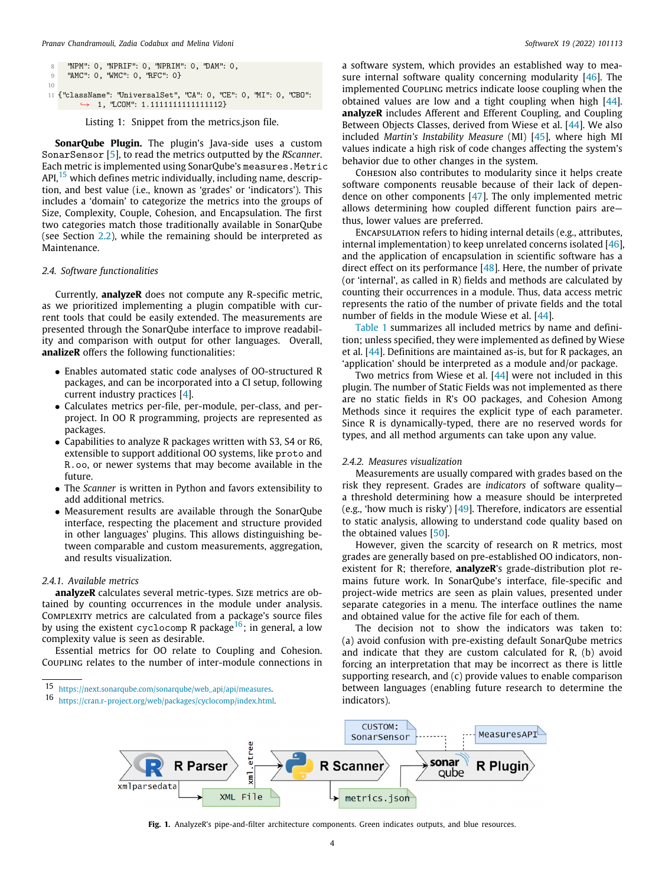```
8 "NPM": 0, "NPRIF": 0, "NPRIM": 0, "DAM": 0,
9 "AMC": 0, "WMC": 0, "RFC": 0}
10
11 {"className": "UniversalSet", "CA": 0, "CE": 0, "MI": 0, "CBO":
        \rightarrow 1, "LCOM": 1.111111111111111112}
```
Listing 1: Snippet from the metrics.json file.

<span id="page-3-1"></span>**SonarQube Plugin.** The plugin's Java-side uses a custom SonarSensor [[5](#page-8-4)], to read the metrics outputted by the *RScanner*. Each metric is implemented using SonarQube's measures.Metric API,  $15$  which defines metric individually, including name, description, and best value (i.e., known as 'grades' or 'indicators'). This includes a 'domain' to categorize the metrics into the groups of Size, Complexity, Couple, Cohesion, and Encapsulation. The first two categories match those traditionally available in SonarQube (see Section [2.2\)](#page-2-8), while the remaining should be interpreted as Maintenance.

#### *2.4. Software functionalities*

Currently, **analyzeR** does not compute any R-specific metric, as we prioritized implementing a plugin compatible with current tools that could be easily extended. The measurements are presented through the SonarQube interface to improve readability and comparison with output for other languages. Overall, **analizeR** offers the following functionalities:

- Enables automated static code analyses of OO-structured R packages, and can be incorporated into a CI setup, following current industry practices [[4\]](#page-8-3).
- Calculates metrics per-file, per-module, per-class, and perproject. In OO R programming, projects are represented as packages.
- Capabilities to analyze R packages written with S3, S4 or R6, extensible to support additional OO systems, like proto and R.oo, or newer systems that may become available in the future.
- The *Scanner* is written in Python and favors extensibility to add additional metrics.
- Measurement results are available through the SonarQube interface, respecting the placement and structure provided in other languages' plugins. This allows distinguishing between comparable and custom measurements, aggregation, and results visualization.

#### *2.4.1. Available metrics*

**analyzeR** calculates several metric-types. Size metrics are obtained by counting occurrences in the module under analysis. Complexity metrics are calculated from a package's source files by using the existent cyclocomp R package<sup>[16](#page-3-2)</sup>; in general, a low complexity value is seen as desirable.

Essential metrics for OO relate to Coupling and Cohesion. Coupling relates to the number of inter-module connections in

a software system, which provides an established way to measure internal software quality concerning modularity [\[46\]](#page-9-2). The implemented Coupling metrics indicate loose coupling when the obtained values are low and a tight coupling when high [\[44\]](#page-9-3). **analyzeR** includes Afferent and Efferent Coupling, and Coupling Between Objects Classes, derived from Wiese et al. [\[44](#page-9-3)]. We also included *Martin's Instability Measure* (MI) [[45](#page-9-4)], where high MI values indicate a high risk of code changes affecting the system's behavior due to other changes in the system.

Cohesion also contributes to modularity since it helps create software components reusable because of their lack of dependence on other components [[47](#page-9-5)]. The only implemented metric allows determining how coupled different function pairs are thus, lower values are preferred.

Encapsulation refers to hiding internal details (e.g., attributes, internal implementation) to keep unrelated concerns isolated [\[46\]](#page-9-2), and the application of encapsulation in scientific software has a direct effect on its performance [\[48\]](#page-9-6). Here, the number of private (or 'internal', as called in R) fields and methods are calculated by counting their occurrences in a module. Thus, data access metric represents the ratio of the number of private fields and the total number of fields in the module Wiese et al. [[44](#page-9-3)].

[Table](#page-4-0) [1](#page-4-0) summarizes all included metrics by name and definition; unless specified, they were implemented as defined by Wiese et al. [\[44\]](#page-9-3). Definitions are maintained as-is, but for R packages, an 'application' should be interpreted as a module and/or package.

Two metrics from Wiese et al. [\[44\]](#page-9-3) were not included in this plugin. The number of Static Fields was not implemented as there are no static fields in R's OO packages, and Cohesion Among Methods since it requires the explicit type of each parameter. Since R is dynamically-typed, there are no reserved words for types, and all method arguments can take upon any value.

#### *2.4.2. Measures visualization*

<span id="page-3-3"></span>Measurements are usually compared with grades based on the risk they represent. Grades are *indicators* of software quality a threshold determining how a measure should be interpreted (e.g., 'how much is risky') [\[49](#page-9-7)]. Therefore, indicators are essential to static analysis, allowing to understand code quality based on the obtained values [\[50\]](#page-9-8).

However, given the scarcity of research on R metrics, most grades are generally based on pre-established OO indicators, nonexistent for R; therefore, **analyzeR**'s grade-distribution plot remains future work. In SonarQube's interface, file-specific and project-wide metrics are seen as plain values, presented under separate categories in a menu. The interface outlines the name and obtained value for the active file for each of them.

<span id="page-3-2"></span>The decision not to show the indicators was taken to: (a) avoid confusion with pre-existing default SonarQube metrics and indicate that they are custom calculated for R, (b) avoid forcing an interpretation that may be incorrect as there is little supporting research, and (c) provide values to enable comparison between languages (enabling future research to determine the indicators).



<span id="page-3-0"></span>**Fig. 1.** AnalyzeR's pipe-and-filter architecture components. Green indicates outputs, and blue resources.

<sup>15</sup> [https://next.sonarqube.com/sonarqube/web\\_api/api/measures](https://next.sonarqube.com/sonarqube/web_api/api/measures).

<sup>16</sup> [https://cran.r-project.org/web/packages/cyclocomp/index.html.](https://cran.r-project.org/web/packages/cyclocomp/index.html)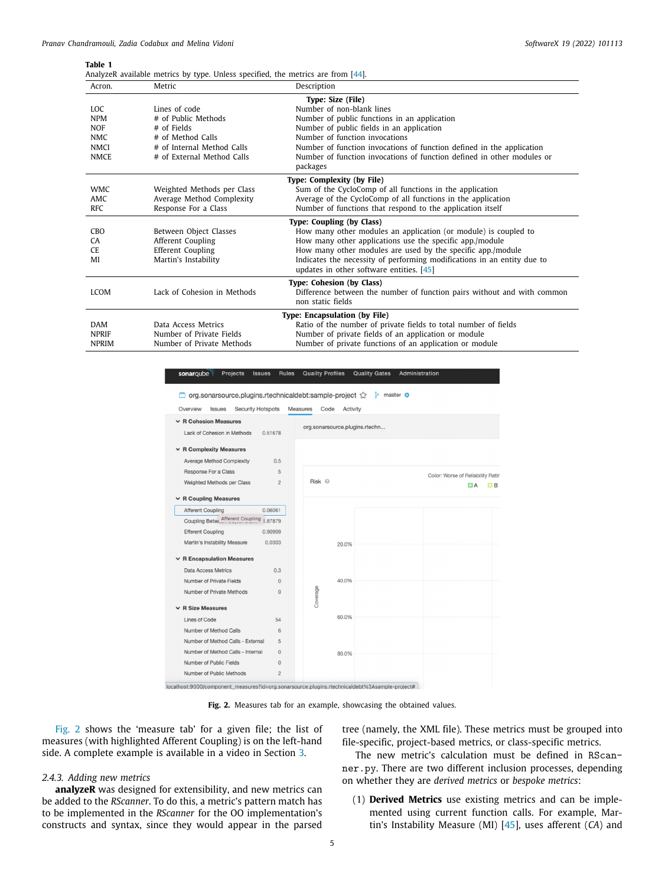#### <span id="page-4-0"></span>**Table 1**

| AnalyzeR available metrics by type. Unless specified, the metrics are from [44]. |  |  |  |  |  |  |  |
|----------------------------------------------------------------------------------|--|--|--|--|--|--|--|
|----------------------------------------------------------------------------------|--|--|--|--|--|--|--|

| Acron.       | Metric                      | Description                                                                                                         |
|--------------|-----------------------------|---------------------------------------------------------------------------------------------------------------------|
|              |                             | Type: Size (File)                                                                                                   |
| LOC.         | Lines of code               | Number of non-blank lines                                                                                           |
| <b>NPM</b>   | # of Public Methods         | Number of public functions in an application                                                                        |
| <b>NOF</b>   | # of Fields                 | Number of public fields in an application                                                                           |
| <b>NMC</b>   | # of Method Calls           | Number of function invocations                                                                                      |
| NMCI         | # of Internal Method Calls  | Number of function invocations of function defined in the application                                               |
| <b>NMCE</b>  | # of External Method Calls  | Number of function invocations of function defined in other modules or<br>packages                                  |
|              |                             | Type: Complexity (by File)                                                                                          |
| <b>WMC</b>   | Weighted Methods per Class  | Sum of the CycloComp of all functions in the application                                                            |
| <b>AMC</b>   | Average Method Complexity   | Average of the CycloComp of all functions in the application                                                        |
| <b>RFC</b>   | Response For a Class        | Number of functions that respond to the application itself                                                          |
|              |                             | Type: Coupling (by Class)                                                                                           |
| <b>CBO</b>   | Between Object Classes      | How many other modules an application (or module) is coupled to                                                     |
| CA           | Afferent Coupling           | How many other applications use the specific app./module                                                            |
| CE.          | <b>Efferent Coupling</b>    | How many other modules are used by the specific app./module                                                         |
| MI           | Martin's Instability        | Indicates the necessity of performing modifications in an entity due to<br>updates in other software entities. [45] |
|              |                             | Type: Cohesion (by Class)                                                                                           |
| <b>LCOM</b>  | Lack of Cohesion in Methods | Difference between the number of function pairs without and with common<br>non static fields                        |
|              |                             | Type: Encapsulation (by File)                                                                                       |
| <b>DAM</b>   | Data Access Metrics         | Ratio of the number of private fields to total number of fields                                                     |
| <b>NPRIF</b> | Number of Private Fields    | Number of private fields of an application or module                                                                |
| <b>NPRIM</b> | Number of Private Methods   | Number of private functions of an application or module                                                             |

Overview Issues Security Hotspots Measures Code Activity  $\times$  R Cohesion Measures org.sonarsource.plugins.rtechn... Lack of Cohesion in Methods 0.51678  $\vee$  R Complexity Measures Average Method Complexity  $0.5$ Besnonse For a Class  $\overline{5}$ Color: Worse of Reliability Ratin Weighted Methods per Class  $\overline{2}$ Risk <sup>©</sup>  $\vee$  R Coupling Measures Afferent Coupling 0.06061

Projects Issues Rules Quality Profiles Quality Gates

Administration



localhost:9000/component\_measures?id=org.sonarsource.plugins.rtechnicaldebt%3Asample-project#

**Fig. 2.** Measures tab for an example, showcasing the obtained values.

<span id="page-4-1"></span>[Fig.](#page-4-1) [2](#page-4-1) shows the 'measure tab' for a given file; the list of measures (with highlighted Afferent Coupling) is on the left-hand side. A complete example is available in a video in Section [3](#page-5-0).

sonaroube

#### *2.4.3. Adding new metrics*

**analyzeR** was designed for extensibility, and new metrics can be added to the *RScanner*. To do this, a metric's pattern match has to be implemented in the *RScanner* for the OO implementation's constructs and syntax, since they would appear in the parsed

tree (namely, the XML file). These metrics must be grouped into file-specific, project-based metrics, or class-specific metrics.

 $A$  B

The new metric's calculation must be defined in RScanner.py. There are two different inclusion processes, depending on whether they are *derived metrics* or *bespoke metrics*:

(1) **Derived Metrics** use existing metrics and can be implemented using current function calls. For example, Martin's Instability Measure (MI) [\[45\]](#page-9-4), uses afferent (*CA*) and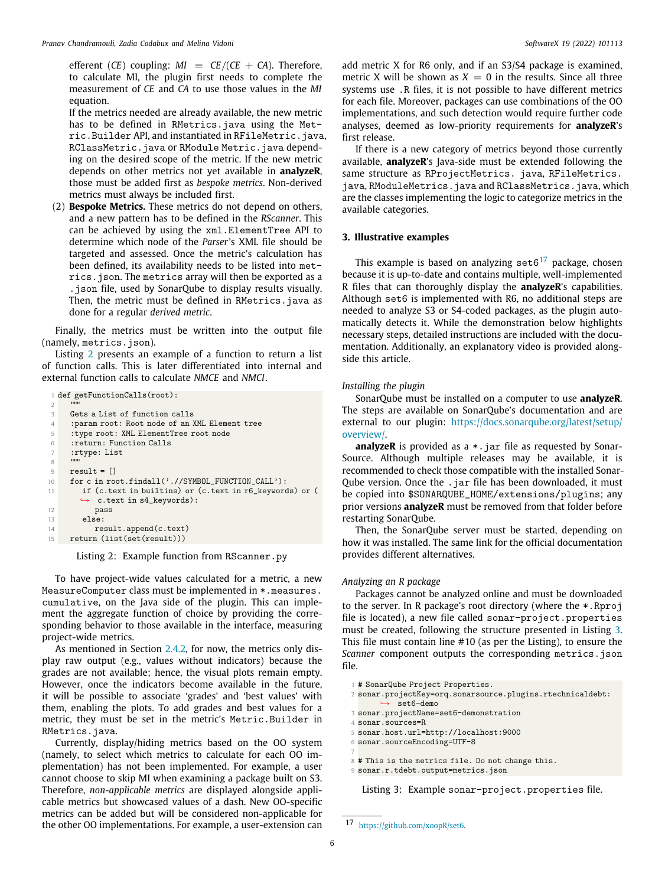efferent  $(CE)$  coupling:  $MI = CE / (CE + CA)$ . Therefore, to calculate MI, the plugin first needs to complete the measurement of *CE* and *CA* to use those values in the *MI* equation.

If the metrics needed are already available, the new metric has to be defined in RMetrics.java using the Metric.Builder API, and instantiated in RFileMetric.java, RClassMetric.java or RModule Metric.java depending on the desired scope of the metric. If the new metric depends on other metrics not yet available in **analyzeR**, those must be added first as *bespoke metrics*. Non-derived metrics must always be included first.

(2) **Bespoke Metrics.** These metrics do not depend on others, and a new pattern has to be defined in the *RScanner*. This can be achieved by using the xml.ElementTree API to determine which node of the *Parser*'s XML file should be targeted and assessed. Once the metric's calculation has been defined, its availability needs to be listed into metrics.json. The metrics array will then be exported as a .json file, used by SonarQube to display results visually. Then, the metric must be defined in RMetrics.java as done for a regular *derived metric*.

Finally, the metrics must be written into the output file (namely, metrics, ison).

Listing [2](#page-5-1) presents an example of a function to return a list of function calls. This is later differentiated into internal and external function calls to calculate *NMCE* and *NMCI*.

```
1 def getFunctionCalls(root):
 2 \blacksquare3 Gets a List of function calls
      : param root: Root node of an XML Element tree
      5 :type root: XML ElementTree root node
6 :return: Function Calls
7 :rtype: List
\mathcal{S}9 result = \begin{bmatrix} 10 \\ 10 \end{bmatrix} for c in row
      for c in root.findall('.//SYMBOL_FUNCTION_CALL'):
11 if (c.text in builtins) or (c.text in r6_keywords) or (
         ightharpoonup c.text in s4_keywords):
12 pass<br>13 else:
13 else:<br>14 res
           result.append(c.text)
15 return (list(set(result)))
```
Listing 2: Example function from RScanner.py

To have project-wide values calculated for a metric, a new MeasureComputer class must be implemented in \*.measures. cumulative, on the Java side of the plugin. This can implement the aggregate function of choice by providing the corresponding behavior to those available in the interface, measuring project-wide metrics.

As mentioned in Section [2.4.2](#page-3-3), for now, the metrics only display raw output (e.g., values without indicators) because the grades are not available; hence, the visual plots remain empty. However, once the indicators become available in the future, it will be possible to associate 'grades' and 'best values' with them, enabling the plots. To add grades and best values for a metric, they must be set in the metric's Metric.Builder in RMetrics.java.

Currently, display/hiding metrics based on the OO system (namely, to select which metrics to calculate for each OO implementation) has not been implemented. For example, a user cannot choose to skip MI when examining a package built on S3. Therefore, *non-applicable metrics* are displayed alongside applicable metrics but showcased values of a dash. New OO-specific metrics can be added but will be considered non-applicable for the other OO implementations. For example, a user-extension can add metric X for R6 only, and if an S3/S4 package is examined, metric X will be shown as  $X = 0$  in the results. Since all three systems use .R files, it is not possible to have different metrics for each file. Moreover, packages can use combinations of the OO implementations, and such detection would require further code analyses, deemed as low-priority requirements for **analyzeR**'s first release.

If there is a new category of metrics beyond those currently available, **analyzeR**'s Java-side must be extended following the same structure as RProjectMetrics. java, RFileMetrics. java, RModuleMetrics.java and RClassMetrics.java, which are the classes implementing the logic to categorize metrics in the available categories.

#### **3. Illustrative examples**

<span id="page-5-2"></span><span id="page-5-0"></span>This example is based on analyzing set  $6^{17}$  $6^{17}$  $6^{17}$  package, chosen because it is up-to-date and contains multiple, well-implemented R files that can thoroughly display the **analyzeR**'s capabilities. Although set6 is implemented with R6, no additional steps are needed to analyze S3 or S4-coded packages, as the plugin automatically detects it. While the demonstration below highlights necessary steps, detailed instructions are included with the documentation. Additionally, an explanatory video is provided alongside this article.

#### *Installing the plugin*

SonarQube must be installed on a computer to use **analyzeR**. The steps are available on SonarQube's documentation and are external to our plugin: [https://docs.sonarqube.org/latest/setup/](https://docs.sonarqube.org/latest/setup/overview/) [overview/.](https://docs.sonarqube.org/latest/setup/overview/)

**analyzeR** is provided as a \*.jar file as requested by Sonar-Source. Although multiple releases may be available, it is recommended to check those compatible with the installed Sonar-Qube version. Once the .jar file has been downloaded, it must be copied into \$SONARQUBE\_HOME/extensions/plugins; any prior versions **analyzeR** must be removed from that folder before restarting SonarQube.

Then, the SonarQube server must be started, depending on how it was installed. The same link for the official documentation provides different alternatives.

#### *Analyzing an R package*

Packages cannot be analyzed online and must be downloaded to the server. In R package's root directory (where the \*.Rproj file is located), a new file called sonar-project.properties must be created, following the structure presented in Listing [3.](#page-5-3) This file must contain line #10 (as per the Listing), to ensure the *Scanner* component outputs the corresponding metrics.json file.

<span id="page-5-3"></span><sup>1</sup> # SonarQube Project Properties.

- <sup>2</sup> sonar.projectKey=orq.sonarsource.plugins.rtechnicaldebt: set6-demo
- <sup>3</sup> sonar.projectName=set6-demonstration

```
4 sonar.sources=R
```
- <sup>5</sup> sonar.host.url=http://localhost:9000
- <sup>6</sup> sonar.sourceEncoding=UTF-8
- 7
- <sup>8</sup> # This is the metrics file. Do not change this. <sup>9</sup> sonar.r.tdebt.output=metrics.json

Listing 3: Example sonar-project.properties file.

<sup>17</sup> [https://github.com/xoopR/set6.](https://github.com/xoopR/set6)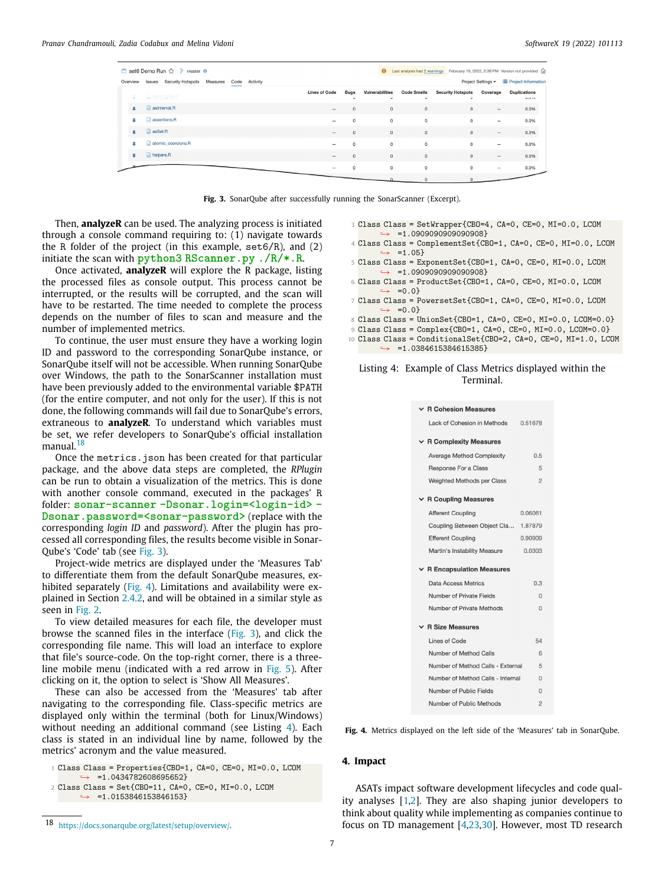|          | ■ set6 Demo Run ☆ 》 master ●                        |          |                          |                        |                      |                                                | Last analysis had 2 warnings February 16, 2022, 2:36 PM Version not provided for |                          |                              |
|----------|-----------------------------------------------------|----------|--------------------------|------------------------|----------------------|------------------------------------------------|----------------------------------------------------------------------------------|--------------------------|------------------------------|
| Overview | <b>Issues</b> Security Hotspots<br>Measures<br>Code | Activity |                          |                        |                      |                                                |                                                                                  | Project Settings =       | <b>E</b> Project Information |
|          | asFuzzySet.R                                        |          | <b>Lines of Code</b>     | <b>Bugs</b><br>$\cdot$ | Vulnerabilities<br>u | <b>Code Smells</b><br>$\overline{\phantom{a}}$ | <b>Security Hotspots</b><br>$\overline{\phantom{a}}$                             | Coverage                 | <b>Duplications</b><br>0.070 |
| ¥.       | $\Box$ asinterval.R                                 |          | $\overline{\phantom{0}}$ | $\Omega$               | $\mathbf{0}$         | $\mathbf{0}$                                   | $\mathbf{0}$                                                                     | $\overline{\phantom{0}}$ | 0.0%                         |
| х        | A assertions.R                                      |          | -                        | $\circ$                | $\circ$              | $\circ$                                        | $\circ$                                                                          | -                        | 0.0%                         |
| ж        | $\Box$ as Set.R                                     |          | $\qquad \qquad -$        | $\mathbf{0}$           | $\,0\,$              | $\,0\,$                                        | $\mathbf{0}$                                                                     |                          | 0.0%                         |
| x        | $\Box$ atomic coercions.R                           |          | -                        | $\Omega$               | $\circ$              | $\circ$                                        | $\Omega$                                                                         | -                        | 0.0%                         |
| 4        | helpers.R                                           |          | $\sim$                   | $\mathbf{0}$           | $\mathbf 0$          | $\mathbf{0}$                                   | $\mathbf 0$                                                                      | $\overline{\phantom{a}}$ | 0.0%                         |
|          |                                                     |          |                          | $\Omega$               | $\mathsf{O}\xspace$  | $\,$ 0                                         | $\circ$                                                                          | $\overline{\phantom{a}}$ | 0.0%                         |
|          |                                                     |          |                          |                        |                      |                                                |                                                                                  |                          |                              |

Fig. 3. SonarQube after successfully running the SonarScanner (Excerpt).

<span id="page-6-1"></span>Then, **analyzeR** can be used. The analyzing process is initiated through a console command requiring to: (1) navigate towards the R folder of the project (in this example,  $set6/R$ ), and (2) initiate the scan with **python3 RScanner.py ./R/\*.R**.

Once activated, **analyzeR** will explore the R package, listing the processed files as console output. This process cannot be interrupted, or the results will be corrupted, and the scan will have to be restarted. The time needed to complete the process depends on the number of files to scan and measure and the number of implemented metrics.

To continue, the user must ensure they have a working login ID and password to the corresponding SonarQube instance, or SonarQube itself will not be accessible. When running SonarQube over Windows, the path to the SonarScanner installation must have been previously added to the environmental variable \$PATH (for the entire computer, and not only for the user). If this is not done, the following commands will fail due to SonarQube's errors, extraneous to **analyzeR**. To understand which variables must be set, we refer developers to SonarQube's official installation manual.<sup>[18](#page-6-0)</sup>

<span id="page-6-0"></span>Once the metrics. json has been created for that particular package, and the above data steps are completed, the *RPlugin* can be run to obtain a visualization of the metrics. This is done with another console command, executed in the packages' R folder: **sonar-scanner -Dsonar.login=<login-id> - Dsonar.password=<sonar-password>** (replace with the corresponding *login ID* and *password*). After the plugin has processed all corresponding files, the results become visible in Sonar-Qube's 'Code' tab (see [Fig.](#page-6-1) [3\)](#page-6-1).

Project-wide metrics are displayed under the 'Measures Tab' to differentiate them from the default SonarQube measures, exhibited separately [\(Fig.](#page-6-2) [4](#page-6-2)). Limitations and availability were explained in Section [2.4.2,](#page-3-3) and will be obtained in a similar style as seen in [Fig.](#page-4-1) [2.](#page-4-1)

To view detailed measures for each file, the developer must browse the scanned files in the interface [\(Fig.](#page-6-1) [3\)](#page-6-1), and click the corresponding file name. This will load an interface to explore that file's source-code. On the top-right corner, there is a threeline mobile menu (indicated with a red arrow in [Fig.](#page-7-0) [5\)](#page-7-0). After clicking on it, the option to select is 'Show All Measures'.

These can also be accessed from the 'Measures' tab after navigating to the corresponding file. Class-specific metrics are displayed only within the terminal (both for Linux/Windows) without needing an additional command (see Listing [4](#page-6-3)). Each class is stated in an individual line by name, followed by the metrics' acronym and the value measured.

- <sup>3</sup> Class Class = SetWrapper{CBO=4, CA=0, CE=0, MI=0.0, LCOM  $\leftrightarrow$  =1.09090909090908}
- <sup>4</sup> Class Class = ComplementSet{CBO=1, CA=0, CE=0, MI=0.0, LCOM  $\leftrightarrow$  =1.05}
- <sup>5</sup> Class Class = ExponentSet{CBO=1, CA=0, CE=0, MI=0.0, LCOM ↪→ =1.0909090909090908}
- <sup>6</sup> Class Class = ProductSet{CBO=1, CA=0, CE=0, MI=0.0, LCOM  $ightharpoonup$  =0.0}
- <sup>7</sup> Class Class = PowersetSet{CBO=1, CA=0, CE=0, MI=0.0, LCOM  $ightharpoonup$  =0.0}
- <sup>8</sup> Class Class = UnionSet{CBO=1, CA=0, CE=0, MI=0.0, LCOM=0.0}
- <sup>9</sup> Class Class = Complex{CBO=1, CA=0, CE=0, MI=0.0, LCOM=0.0}
- <sup>10</sup> Class Class = ConditionalSet{CBO=2, CA=0, CE=0, MI=1.0, LCOM
	- $\leftrightarrow$  =1.0384615384615385}

#### Listing 4: Example of Class Metrics displayed within the Terminal.

| $\times$ R Cohesion Measures      |                |
|-----------------------------------|----------------|
| Lack of Cohesion in Methods       | 0.51678        |
| $\vee$ R Complexity Measures      |                |
| Average Method Complexity         | 0.5            |
| Response For a Class              | 5              |
| <b>Weighted Methods per Class</b> | $\overline{2}$ |
| $\times$ R Coupling Measures      |                |
| <b>Afferent Coupling</b>          | 0.06061        |
| Coupling Between Object Cla       | 1.87879        |
| <b>Efferent Coupling</b>          | 0.90909        |
| Martin's Instability Measure      | 0.0303         |
| $\times$ R Encapsulation Measures |                |
| Data Access Metrics               | 0.3            |
| Number of Private Fields          | $\Omega$       |
| Number of Private Methods         | $\Omega$       |
| <b>R Size Measures</b>            |                |
| Lines of Code                     | 54             |
| Number of Method Calls            | 6              |
| Number of Method Calls - External | 5              |
| Number of Method Calls - Internal | $\Omega$       |
| Number of Public Fields           | $\Omega$       |
| Number of Public Methods          | $\overline{c}$ |

<span id="page-6-2"></span>**Fig. 4.** Metrics displayed on the left side of the 'Measures' tab in SonarQube.

#### **4. Impact**

ASATs impact software development lifecycles and code quality analyses [\[1,](#page-8-0)[2\]](#page-8-1). They are also shaping junior developers to think about quality while implementing as companies continue to focus on TD management [\[4,](#page-8-3)[23,](#page-8-20)[30](#page-8-27)]. However, most TD research

<span id="page-6-3"></span><sup>1</sup> Class Class = Properties{CBO=1, CA=0, CE=0, MI=0.0, LCOM  $\leftrightarrow$  =1.0434782608695652}

<sup>2</sup> Class Class = Set{CBO=11, CA=0, CE=0, MI=0.0, LCOM  $\rightarrow$  =1.0153846153846153

<sup>18</sup> [https://docs.sonarqube.org/latest/setup/overview/.](https://docs.sonarqube.org/latest/setup/overview/)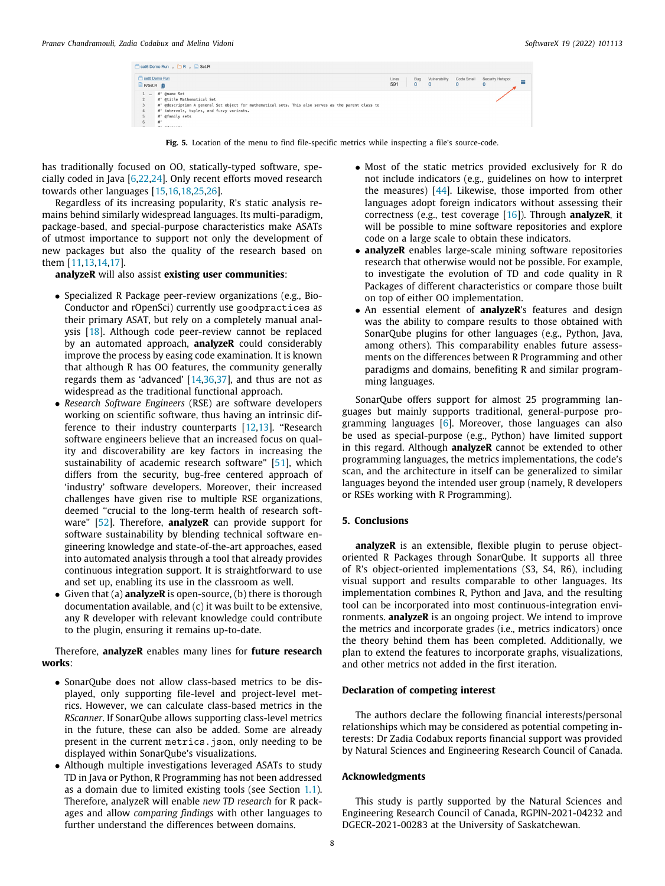| set6 Demo Run    |                                                                                                     | Lines | Bug          | Vulnerability | Code Smell | Security Hotspot  |
|------------------|-----------------------------------------------------------------------------------------------------|-------|--------------|---------------|------------|-------------------|
| <b>B</b> R/Set.R |                                                                                                     | 591   | $\mathbf{0}$ | $\mathbf 0$   | $\circ$    | ≡<br>$\mathbf{0}$ |
| <b>Section</b>   | #' @name Set                                                                                        |       |              |               |            |                   |
|                  | #' @title Mathematical Set                                                                          |       |              |               |            |                   |
| 3                | #' @description A general Set object for mathematical sets. This also serves as the parent class to |       |              |               |            |                   |
| 4                | #' intervals, tuples, and fuzzy variants.                                                           |       |              |               |            |                   |
|                  | #' @family sets                                                                                     |       |              |               |            |                   |
| 6                | $\mathbf{r}$                                                                                        |       |              |               |            |                   |

**Fig. 5.** Location of the menu to find file-specific metrics while inspecting a file's source-code.

<span id="page-7-0"></span>has traditionally focused on OO, statically-typed software, specially coded in Java [\[6](#page-8-5)[,22,](#page-8-19)[24](#page-8-21)]. Only recent efforts moved research towards other languages [[15](#page-8-14)[,16,](#page-8-15)[18](#page-8-17)[,25](#page-8-22),[26\]](#page-8-23).

Regardless of its increasing popularity, R's static analysis remains behind similarly widespread languages. Its multi-paradigm, package-based, and special-purpose characteristics make ASATs of utmost importance to support not only the development of new packages but also the quality of the research based on them [[11](#page-8-10)[,13,](#page-8-12)[14](#page-8-13)[,17\]](#page-8-16).

**analyzeR** will also assist **existing user communities**:

- Specialized R Package peer-review organizations (e.g., Bio-Conductor and rOpenSci) currently use goodpractices as their primary ASAT, but rely on a completely manual analysis [[18](#page-8-17)]. Although code peer-review cannot be replaced by an automated approach, **analyzeR** could considerably improve the process by easing code examination. It is known that although R has OO features, the community generally regards them as 'advanced' [[14](#page-8-13)[,36,](#page-8-33)[37\]](#page-8-34), and thus are not as widespread as the traditional functional approach.
- *Research Software Engineers* (RSE) are software developers working on scientific software, thus having an intrinsic dif-ference to their industry counterparts [[12](#page-8-11)[,13\]](#page-8-12). "Research software engineers believe that an increased focus on quality and discoverability are key factors in increasing the sustainability of academic research software" [\[51\]](#page-9-9), which differs from the security, bug-free centered approach of 'industry' software developers. Moreover, their increased challenges have given rise to multiple RSE organizations, deemed ''crucial to the long-term health of research software" [\[52\]](#page-9-10). Therefore, **analyzeR** can provide support for software sustainability by blending technical software engineering knowledge and state-of-the-art approaches, eased into automated analysis through a tool that already provides continuous integration support. It is straightforward to use and set up, enabling its use in the classroom as well.
- Given that (a) **analyzeR** is open-source, (b) there is thorough documentation available, and (c) it was built to be extensive, any R developer with relevant knowledge could contribute to the plugin, ensuring it remains up-to-date.

Therefore, **analyzeR** enables many lines for **future research works**:

- SonarQube does not allow class-based metrics to be displayed, only supporting file-level and project-level metrics. However, we can calculate class-based metrics in the *RScanner*. If SonarQube allows supporting class-level metrics in the future, these can also be added. Some are already present in the current metrics.json, only needing to be displayed within SonarQube's visualizations.
- Although multiple investigations leveraged ASATs to study TD in Java or Python, R Programming has not been addressed as a domain due to limited existing tools (see Section [1.1\)](#page-1-1). Therefore, analyzeR will enable *new TD research* for R packages and allow *comparing findings* with other languages to further understand the differences between domains.
- Most of the static metrics provided exclusively for R do not include indicators (e.g., guidelines on how to interpret the measures) [[44](#page-9-3)]. Likewise, those imported from other languages adopt foreign indicators without assessing their correctness (e.g., test coverage [[16](#page-8-15)]). Through **analyzeR**, it will be possible to mine software repositories and explore code on a large scale to obtain these indicators.
- **analyzeR** enables large-scale mining software repositories research that otherwise would not be possible. For example, to investigate the evolution of TD and code quality in R Packages of different characteristics or compare those built on top of either OO implementation.
- An essential element of **analyzeR**'s features and design was the ability to compare results to those obtained with SonarQube plugins for other languages (e.g., Python, Java, among others). This comparability enables future assessments on the differences between R Programming and other paradigms and domains, benefiting R and similar programming languages.

SonarQube offers support for almost 25 programming languages but mainly supports traditional, general-purpose programming languages [\[6\]](#page-8-5). Moreover, those languages can also be used as special-purpose (e.g., Python) have limited support in this regard. Although **analyzeR** cannot be extended to other programming languages, the metrics implementations, the code's scan, and the architecture in itself can be generalized to similar languages beyond the intended user group (namely, R developers or RSEs working with R Programming).

#### **5. Conclusions**

**analyzeR** is an extensible, flexible plugin to peruse objectoriented R Packages through SonarQube. It supports all three of R's object-oriented implementations (S3, S4, R6), including visual support and results comparable to other languages. Its implementation combines R, Python and Java, and the resulting tool can be incorporated into most continuous-integration environments. **analyzeR** is an ongoing project. We intend to improve the metrics and incorporate grades (i.e., metrics indicators) once the theory behind them has been completed. Additionally, we plan to extend the features to incorporate graphs, visualizations, and other metrics not added in the first iteration.

#### **Declaration of competing interest**

The authors declare the following financial interests/personal relationships which may be considered as potential competing interests: Dr Zadia Codabux reports financial support was provided by Natural Sciences and Engineering Research Council of Canada.

#### **Acknowledgments**

This study is partly supported by the Natural Sciences and Engineering Research Council of Canada, RGPIN-2021-04232 and DGECR-2021-00283 at the University of Saskatchewan.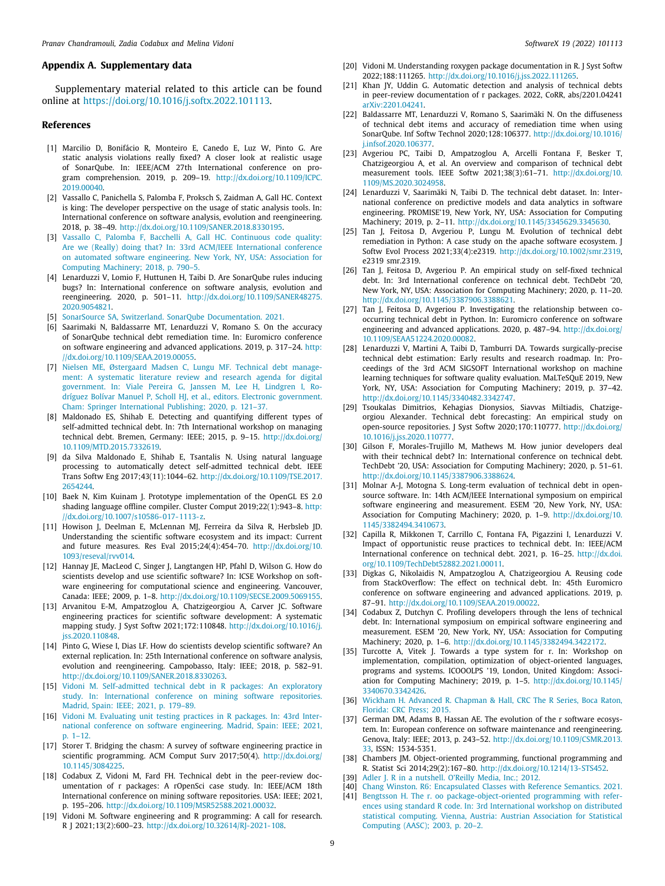#### **Appendix A. Supplementary data**

Supplementary material related to this article can be found online at [https://doi.org/10.1016/j.softx.2022.101113.](https://doi.org/10.1016/j.softx.2022.101113)

#### **References**

- <span id="page-8-0"></span>[1] Marcilio D, Bonifácio R, Monteiro E, Canedo E, Luz W, Pinto G. Are static analysis violations really fixed? A closer look at realistic usage of SonarQube. In: IEEE/ACM 27th International conference on program comprehension. 2019, p. 209–19. [http://dx.doi.org/10.1109/ICPC.](http://dx.doi.org/10.1109/ICPC.2019.00040) [2019.00040.](http://dx.doi.org/10.1109/ICPC.2019.00040)
- <span id="page-8-1"></span>[2] Vassallo C, Panichella S, Palomba F, Proksch S, Zaidman A, Gall HC. Context is king: The developer perspective on the usage of static analysis tools. In: International conference on software analysis, evolution and reengineering. 2018, p. 38–49. [http://dx.doi.org/10.1109/SANER.2018.8330195.](http://dx.doi.org/10.1109/SANER.2018.8330195)
- <span id="page-8-2"></span>[3] [Vassallo C, Palomba F, Bacchelli A, Gall HC. Continuous code quality:](http://refhub.elsevier.com/S2352-7110(22)00074-7/sb3) [Are we \(Really\) doing that? In: 33rd ACM/IEEE International conference](http://refhub.elsevier.com/S2352-7110(22)00074-7/sb3) [on automated software engineering. New York, NY, USA: Association for](http://refhub.elsevier.com/S2352-7110(22)00074-7/sb3) [Computing Machinery; 2018, p. 790–5.](http://refhub.elsevier.com/S2352-7110(22)00074-7/sb3)
- <span id="page-8-3"></span>[4] Lenarduzzi V, Lomio F, Huttunen H, Taibi D. Are SonarQube rules inducing bugs? In: International conference on software analysis, evolution and reengineering. 2020, p. 501–11. [http://dx.doi.org/10.1109/SANER48275.](http://dx.doi.org/10.1109/SANER48275.2020.9054821) [2020.9054821.](http://dx.doi.org/10.1109/SANER48275.2020.9054821)
- <span id="page-8-4"></span>[5] [SonarSource SA, Switzerland. SonarQube Documentation. 2021.](http://refhub.elsevier.com/S2352-7110(22)00074-7/sb5)
- <span id="page-8-5"></span>[6] Saarimaki N, Baldassarre MT, Lenarduzzi V, Romano S. On the accuracy of SonarQube technical debt remediation time. In: Euromicro conference on software engineering and advanced applications. 2019, p. 317–24. [http:](http://dx.doi.org/10.1109/SEAA.2019.00055) [//dx.doi.org/10.1109/SEAA.2019.00055.](http://dx.doi.org/10.1109/SEAA.2019.00055)
- <span id="page-8-6"></span>[7] [Nielsen ME, Østergaard Madsen C, Lungu MF. Technical debt manage](http://refhub.elsevier.com/S2352-7110(22)00074-7/sb7)[ment: A systematic literature review and research agenda for digital](http://refhub.elsevier.com/S2352-7110(22)00074-7/sb7) [government. In: Viale Pereira G, Janssen M, Lee H, Lindgren I, Ro](http://refhub.elsevier.com/S2352-7110(22)00074-7/sb7)[dríguez Bolívar Manuel P, Scholl HJ, et al., editors. Electronic government.](http://refhub.elsevier.com/S2352-7110(22)00074-7/sb7) [Cham: Springer International Publishing; 2020, p. 121–37.](http://refhub.elsevier.com/S2352-7110(22)00074-7/sb7)
- <span id="page-8-7"></span>[8] Maldonado ES, Shihab E. Detecting and quantifying different types of self-admitted technical debt. In: 7th International workshop on managing technical debt. Bremen, Germany: IEEE; 2015, p. 9–15. [http://dx.doi.org/](http://dx.doi.org/10.1109/MTD.2015.7332619) [10.1109/MTD.2015.7332619.](http://dx.doi.org/10.1109/MTD.2015.7332619)
- <span id="page-8-8"></span>[9] da Silva Maldonado E, Shihab E, Tsantalis N. Using natural language processing to automatically detect self-admitted technical debt. IEEE Trans Softw Eng 2017;43(11):1044–62. [http://dx.doi.org/10.1109/TSE.2017.](http://dx.doi.org/10.1109/TSE.2017.2654244) [2654244.](http://dx.doi.org/10.1109/TSE.2017.2654244)
- <span id="page-8-9"></span>[10] Baek N, Kim Kuinam J. Prototype implementation of the OpenGL ES 2.0 shading language offline compiler. Cluster Comput 2019;22(1):943–8. [http:](http://dx.doi.org/10.1007/s10586-017-1113-z) [//dx.doi.org/10.1007/s10586-017-1113-z](http://dx.doi.org/10.1007/s10586-017-1113-z).
- <span id="page-8-10"></span>[11] Howison J, Deelman E, McLennan MJ, Ferreira da Silva R, Herbsleb JD. Understanding the scientific software ecosystem and its impact: Current and future measures. Res Eval 2015;24(4):454–70. [http://dx.doi.org/10.](http://dx.doi.org/10.1093/reseval/rvv014) [1093/reseval/rvv014.](http://dx.doi.org/10.1093/reseval/rvv014)
- <span id="page-8-11"></span>[12] Hannay JE, MacLeod C, Singer J, Langtangen HP, Pfahl D, Wilson G. How do scientists develop and use scientific software? In: ICSE Workshop on software engineering for computational science and engineering. Vancouver, Canada: IEEE; 2009, p. 1–8. <http://dx.doi.org/10.1109/SECSE.2009.5069155>.
- <span id="page-8-12"></span>[13] Arvanitou E-M, Ampatzoglou A, Chatzigeorgiou A, Carver JC. Software engineering practices for scientific software development: A systematic mapping study. J Syst Softw 2021;172:110848. [http://dx.doi.org/10.1016/j.](http://dx.doi.org/10.1016/j.jss.2020.110848) [jss.2020.110848](http://dx.doi.org/10.1016/j.jss.2020.110848).
- <span id="page-8-13"></span>[14] Pinto G, Wiese I, Dias LF. How do scientists develop scientific software? An external replication. In: 25th International conference on software analysis, evolution and reengineering. Campobasso, Italy: IEEE; 2018, p. 582–91. [http://dx.doi.org/10.1109/SANER.2018.8330263.](http://dx.doi.org/10.1109/SANER.2018.8330263)
- <span id="page-8-14"></span>[15] [Vidoni M. Self-admitted technical debt in R packages: An exploratory](http://refhub.elsevier.com/S2352-7110(22)00074-7/sb15) [study. In: International conference on mining software repositories.](http://refhub.elsevier.com/S2352-7110(22)00074-7/sb15) [Madrid, Spain: IEEE; 2021, p. 179–89.](http://refhub.elsevier.com/S2352-7110(22)00074-7/sb15)
- <span id="page-8-15"></span>[16] [Vidoni M. Evaluating unit testing practices in R packages. In: 43rd Inter](http://refhub.elsevier.com/S2352-7110(22)00074-7/sb16)[national conference on software engineering. Madrid, Spain: IEEE; 2021,](http://refhub.elsevier.com/S2352-7110(22)00074-7/sb16) [p. 1–12.](http://refhub.elsevier.com/S2352-7110(22)00074-7/sb16)
- <span id="page-8-16"></span>[17] Storer T. Bridging the chasm: A survey of software engineering practice in scientific programming. ACM Comput Surv 2017;50(4). [http://dx.doi.org/](http://dx.doi.org/10.1145/3084225) [10.1145/3084225.](http://dx.doi.org/10.1145/3084225)
- <span id="page-8-17"></span>[18] Codabux Z, Vidoni M, Fard FH. Technical debt in the peer-review documentation of r packages: A rOpenSci case study. In: IEEE/ACM 18th International conference on mining software repositories. USA: IEEE; 2021, p. 195–206. [http://dx.doi.org/10.1109/MSR52588.2021.00032.](http://dx.doi.org/10.1109/MSR52588.2021.00032)
- [19] Vidoni M. Software engineering and R programming: A call for research. R J 2021;13(2):600–23. <http://dx.doi.org/10.32614/RJ-2021-108>.
- [20] Vidoni M. Understanding roxygen package documentation in R. J Syst Softw 2022;188:111265. [http://dx.doi.org/10.1016/j.jss.2022.111265.](http://dx.doi.org/10.1016/j.jss.2022.111265)
- <span id="page-8-18"></span>[21] Khan JY, Uddin G. Automatic detection and analysis of technical debts in peer-review documentation of r packages. 2022, CoRR, abs/2201.04241 [arXiv:2201.04241](http://arxiv.org/abs/2201.04241).
- <span id="page-8-19"></span>[22] Baldassarre MT, Lenarduzzi V, Romano S, Saarimäki N. On the diffuseness of technical debt items and accuracy of remediation time when using SonarQube. Inf Softw Technol 2020;128:106377. [http://dx.doi.org/10.1016/](http://dx.doi.org/10.1016/j.infsof.2020.106377) [j.infsof.2020.106377](http://dx.doi.org/10.1016/j.infsof.2020.106377).
- <span id="page-8-20"></span>[23] Avgeriou PC, Taibi D, Ampatzoglou A, Arcelli Fontana F, Besker T, Chatzigeorgiou A, et al. An overview and comparison of technical debt measurement tools. IEEE Softw 2021;38(3):61–71. [http://dx.doi.org/10.](http://dx.doi.org/10.1109/MS.2020.3024958) [1109/MS.2020.3024958.](http://dx.doi.org/10.1109/MS.2020.3024958)
- <span id="page-8-21"></span>[24] Lenarduzzi V, Saarimäki N, Taibi D. The technical debt dataset. In: International conference on predictive models and data analytics in software engineering. PROMISE'19, New York, NY, USA: Association for Computing Machinery; 2019, p. 2–11. <http://dx.doi.org/10.1145/3345629.3345630>.
- <span id="page-8-22"></span>[25] Tan J, Feitosa D, Avgeriou P, Lungu M. Evolution of technical debt remediation in Python: A case study on the apache software ecosystem. J Softw Evol Process 2021;33(4):e2319. <http://dx.doi.org/10.1002/smr.2319>, e2319 smr.2319.
- <span id="page-8-23"></span>[26] Tan J, Feitosa D, Avgeriou P. An empirical study on self-fixed technical debt. In: 3rd International conference on technical debt. TechDebt '20, New York, NY, USA: Association for Computing Machinery; 2020, p. 11–20. [http://dx.doi.org/10.1145/3387906.3388621.](http://dx.doi.org/10.1145/3387906.3388621)
- <span id="page-8-24"></span>[27] Tan J, Feitosa D, Avgeriou P. Investigating the relationship between cooccurring technical debt in Python. In: Euromicro conference on software engineering and advanced applications. 2020, p. 487–94. [http://dx.doi.org/](http://dx.doi.org/10.1109/SEAA51224.2020.00082) [10.1109/SEAA51224.2020.00082.](http://dx.doi.org/10.1109/SEAA51224.2020.00082)
- <span id="page-8-25"></span>[28] Lenarduzzi V, Martini A, Taibi D, Tamburri DA. Towards surgically-precise technical debt estimation: Early results and research roadmap. In: Proceedings of the 3rd ACM SIGSOFT International workshop on machine learning techniques for software quality evaluation. MaLTeSQuE 2019, New York, NY, USA: Association for Computing Machinery; 2019, p. 37–42. [http://dx.doi.org/10.1145/3340482.3342747.](http://dx.doi.org/10.1145/3340482.3342747)
- <span id="page-8-26"></span>[29] Tsoukalas Dimitrios, Kehagias Dionysios, Siavvas Miltiadis, Chatzigeorgiou Alexander. Technical debt forecasting: An empirical study on open-source repositories. J Syst Softw 2020;170:110777. [http://dx.doi.org/](http://dx.doi.org/10.1016/j.jss.2020.110777) [10.1016/j.jss.2020.110777.](http://dx.doi.org/10.1016/j.jss.2020.110777)
- <span id="page-8-27"></span>[30] Gilson F, Morales-Trujillo M, Mathews M. How junior developers deal with their technical debt? In: International conference on technical debt. TechDebt '20, USA: Association for Computing Machinery; 2020, p. 51–61. [http://dx.doi.org/10.1145/3387906.3388624.](http://dx.doi.org/10.1145/3387906.3388624)
- <span id="page-8-28"></span>[31] Molnar A-J, Motogna S. Long-term evaluation of technical debt in opensource software. In: 14th ACM/IEEE International symposium on empirical software engineering and measurement. ESEM '20, New York, NY, USA: Association for Computing Machinery; 2020, p. 1–9. [http://dx.doi.org/10.](http://dx.doi.org/10.1145/3382494.3410673) [1145/3382494.3410673.](http://dx.doi.org/10.1145/3382494.3410673)
- <span id="page-8-29"></span>[32] Capilla R, Mikkonen T, Carrillo C, Fontana FA, Pigazzini I, Lenarduzzi V. Impact of opportunistic reuse practices to technical debt. In: IEEE/ACM International conference on technical debt. 2021, p. 16–25. [http://dx.doi.](http://dx.doi.org/10.1109/TechDebt52882.2021.00011) [org/10.1109/TechDebt52882.2021.00011.](http://dx.doi.org/10.1109/TechDebt52882.2021.00011)
- <span id="page-8-30"></span>[33] Digkas G, Nikolaidis N, Ampatzoglou A, Chatzigeorgiou A. Reusing code from StackOverflow: The effect on technical debt. In: 45th Euromicro conference on software engineering and advanced applications. 2019, p. 87–91. [http://dx.doi.org/10.1109/SEAA.2019.00022.](http://dx.doi.org/10.1109/SEAA.2019.00022)
- <span id="page-8-31"></span>[34] Codabux Z, Dutchyn C. Profiling developers through the lens of technical debt. In: International symposium on empirical software engineering and measurement. ESEM '20, New York, NY, USA: Association for Computing Machinery; 2020, p. 1–6. <http://dx.doi.org/10.1145/3382494.3422172>.
- <span id="page-8-32"></span>[35] Turcotte A, Vitek J. Towards a type system for r. In: Workshop on implementation, compilation, optimization of object-oriented languages, programs and systems. ICOOOLPS '19, London, United Kingdom: Association for Computing Machinery; 2019, p. 1–5. [http://dx.doi.org/10.1145/](http://dx.doi.org/10.1145/3340670.3342426) [3340670.3342426](http://dx.doi.org/10.1145/3340670.3342426).
- <span id="page-8-33"></span>[36] [Wickham H. Advanced R. Chapman & Hall, CRC The R Series, Boca Raton,](http://refhub.elsevier.com/S2352-7110(22)00074-7/sb36) [Florida: CRC Press; 2015.](http://refhub.elsevier.com/S2352-7110(22)00074-7/sb36)
- <span id="page-8-34"></span>[37] German DM, Adams B, Hassan AE. The evolution of the r software ecosystem. In: European conference on software maintenance and reengineering. Genova, Italy: IEEE; 2013, p. 243–52. [http://dx.doi.org/10.1109/CSMR.2013.](http://dx.doi.org/10.1109/CSMR.2013.33) [33,](http://dx.doi.org/10.1109/CSMR.2013.33) ISSN: 1534-5351.
- <span id="page-8-35"></span>[38] Chambers JM. Object-oriented programming, functional programming and R. Statist Sci 2014;29(2):167–80. <http://dx.doi.org/10.1214/13-STS452>.
- <span id="page-8-36"></span>[39] [Adler J. R in a nutshell. O'Reilly Media, Inc.; 2012.](http://refhub.elsevier.com/S2352-7110(22)00074-7/sb39)
- <span id="page-8-38"></span><span id="page-8-37"></span>[40] [Chang Winston. R6: Encapsulated Classes with Reference Semantics. 2021.](http://refhub.elsevier.com/S2352-7110(22)00074-7/sb40) [41] [Bengtsson H. The r. oo package-object-oriented programming with refer](http://refhub.elsevier.com/S2352-7110(22)00074-7/sb41)[ences using standard R code. In: 3rd International workshop on distributed](http://refhub.elsevier.com/S2352-7110(22)00074-7/sb41) [statistical computing. Vienna, Austria: Austrian Association for Statistical](http://refhub.elsevier.com/S2352-7110(22)00074-7/sb41) [Computing \(AASC\); 2003, p. 20–2.](http://refhub.elsevier.com/S2352-7110(22)00074-7/sb41)